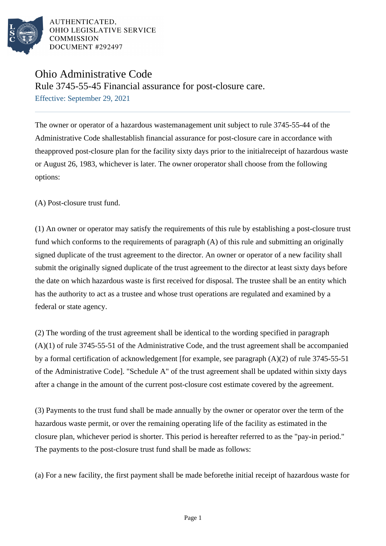

# Ohio Administrative Code

Rule 3745-55-45 Financial assurance for post-closure care.

Effective: September 29, 2021

The owner or operator of a hazardous wastemanagement unit subject to rule 3745-55-44 of the Administrative Code shallestablish financial assurance for post-closure care in accordance with theapproved post-closure plan for the facility sixty days prior to the initialreceipt of hazardous waste or August 26, 1983, whichever is later. The owner oroperator shall choose from the following options:

(A) Post-closure trust fund.

(1) An owner or operator may satisfy the requirements of this rule by establishing a post-closure trust fund which conforms to the requirements of paragraph  $(A)$  of this rule and submitting an originally signed duplicate of the trust agreement to the director. An owner or operator of a new facility shall submit the originally signed duplicate of the trust agreement to the director at least sixty days before the date on which hazardous waste is first received for disposal. The trustee shall be an entity which has the authority to act as a trustee and whose trust operations are regulated and examined by a federal or state agency.

 $(2)$  The wording of the trust agreement shall be identical to the wording specified in paragraph  $(A)(1)$  of rule 3745-55-51 of the Administrative Code, and the trust agreement shall be accompanied by a formal certification of acknowledgement [for example, see paragraph  $(A)(2)$  of rule 3745-55-51 of the Administrative Code]. "Schedule A" of the trust agreement shall be updated within sixty days after a change in the amount of the current post-closure cost estimate covered by the agreement.

(3) Payments to the trust fund shall be made annually by the owner or operator over the term of the hazardous waste permit, or over the remaining operating life of the facility as estimated in the closure plan, whichever period is shorter. This period is hereafter referred to as the "pay-in period." The payments to the post-closure trust fund shall be made as follows:

(a) For a new facility, the first payment shall be made before the initial receipt of hazardous waste for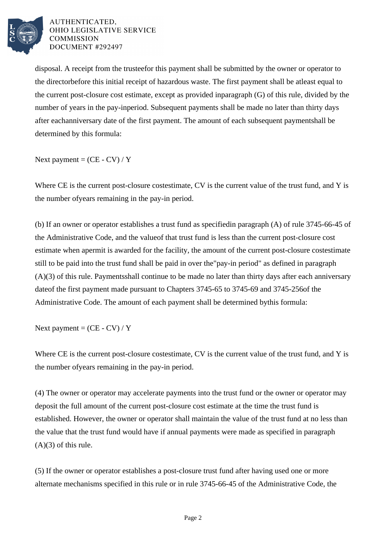

disposal. A receipt from the trustee for this payment shall be submitted by the owner or operator to the director before this initial receipt of hazardous waste. The first payment shall be at least equal to the current post-closure cost estimate, except as provided in  $\beta$  paragraph (G) of this rule, divided by the number of years in the pay-in period. Subsequent payments shall be made no later than thirty days after each anniversary date of the first payment. The amount of each subsequent payment shall be determined by this formula:

Next payment =  $(CE - CV) / Y$ 

Where CE is the current post-closure cost estimate, CV is the current value of the trust fund, and Y is the number of years remaining in the pay-in period.

(b) If an owner or operator establishes a trust fund as specified in paragraph  $(A)$  of rule 3745-66-45 of the Administrative Code, and the value of that trust fund is less than the current post-closure cost estimate when a permit is awarded for the facility, the amount of the current post-closure cost estimate still to be paid into the trust fund shall be paid in over the "pay-in period" as defined in paragraph  $(A)(3)$  of this rule. Payments shall continue to be made no later than thirty days after each anniversary date of the first payment made pursuant to Chapters 3745-65 to 3745-69 and 3745-256 of the Administrative Code. The amount of each payment shall be determined by this formula:

Next payment  $= (CE - CV) / Y$ 

Where CE is the current post-closure cost estimate, CV is the current value of the trust fund, and Y is the number of years remaining in the pay-in period.

(4) The owner or operator may accelerate payments into the trust fund or the owner or operator may deposit the full amount of the current post-closure cost estimate at the time the trust fund is established. However, the owner or operator shall maintain the value of the trust fund at no less than the value that the trust fund would have if annual payments were made as specified in paragraph  $(A)(3)$  of this rule.

(5) If the owner or operator establishes a post-closure trust fund after having used one or more alternate mechanisms specified in this rule or in rule 3745-66-45 of the Administrative Code, the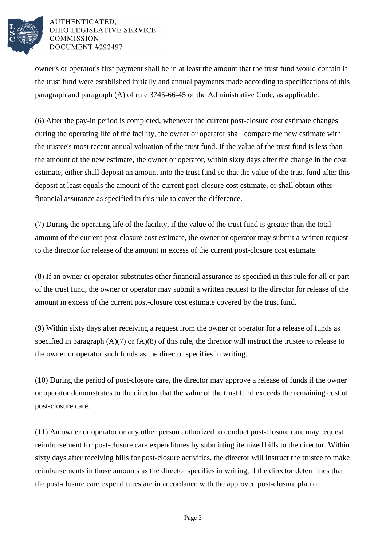

owner's or operator's first payment shall be in at least the amount that the trust fund would contain if the trust fund were established initially and annual payments made according to specifications of this paragraph and paragraph  $(A)$  of rule 3745-66-45 of the Administrative Code, as applicable.

(6) After the pay-in period is completed, whenever the current post-closure cost estimate changes during the operating life of the facility, the owner or operator shall compare the new estimate with the trustee's most recent annual valuation of the trust fund. If the value of the trust fund is less than the amount of the new estimate, the owner or operator, within sixty days after the change in the cost estimate, either shall deposit an amount into the trust fund so that the value of the trust fund after this deposit at least equals the amount of the current post-closure cost estimate, or shall obtain other financial assurance as specified in this rule to cover the difference.

(7) During the operating life of the facility, if the value of the trust fund is greater than the total amount of the current post-closure cost estimate, the owner or operator may submit a written request to the director for release of the amount in excess of the current post-closure cost estimate.

(8) If an owner or operator substitutes other financial assurance as specified in this rule for all or part of the trust fund, the owner or operator may submit a written request to the director for release of the amount in excess of the current post-closure cost estimate covered by the trust fund.

(9) Within sixty days after receiving a request from the owner or operator for a release of funds as specified in paragraph  $(A)(7)$  or  $(A)(8)$  of this rule, the director will instruct the trustee to release to the owner or operator such funds as the director specifies in writing.

(10) During the period of post-closure care, the director may approve a release of funds if the owner or operator demonstrates to the director that the value of the trust fund exceeds the remaining cost of post-closure care.

(11) An owner or operator or any other person authorized to conduct post-closure care may request reimbursement for post-closure care expenditures by submitting itemized bills to the director. Within sixty days after receiving bills for post-closure activities, the director will instruct the trustee to make reimbursements in those amounts as the director specifies in writing, if the director determines that the post-closure care expenditures are in accordance with the approved post-closure plan or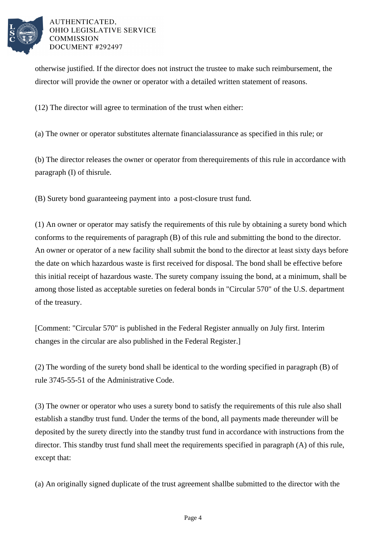

otherwise justified. If the director does not instruct the trustee to make such reimbursement, the director will provide the owner or operator with a detailed written statement of reasons.

(12) The director will agree to termination of the trust when either:

(a) The owner or operator substitutes alternate financial assurance as specified in this rule; or

(b) The director releases the owner or operator from the requirements of this rule in accordance with paragraph  $(I)$  of this rule.

(B) Surety bond guaranteeing payment into a post-closure trust fund.

(1) An owner or operator may satisfy the requirements of this rule by obtaining a surety bond which conforms to the requirements of paragraph (B) of this rule and submitting the bond to the director. An owner or operator of a new facility shall submit the bond to the director at least sixty days before the date on which hazardous waste is first received for disposal. The bond shall be effective before this initial receipt of hazardous waste. The surety company issuing the bond, at a minimum, shall be among those listed as acceptable sureties on federal bonds in "Circular 570" of the U.S. department of the treasury.

[Comment: "Circular 570" is published in the Federal Register annually on July first. Interim changes in the circular are also published in the Federal Register.]

(2) The wording of the surety bond shall be identical to the wording specified in paragraph (B) of rule 3745-55-51 of the Administrative Code.

(3) The owner or operator who uses a surety bond to satisfy the requirements of this rule also shall establish a standby trust fund. Under the terms of the bond, all payments made thereunder will be deposited by the surety directly into the standby trust fund in accordance with instructions from the director. This standby trust fund shall meet the requirements specified in paragraph (A) of this rule, except that:

(a) An originally signed duplicate of the trust agreement shall be submitted to the director with the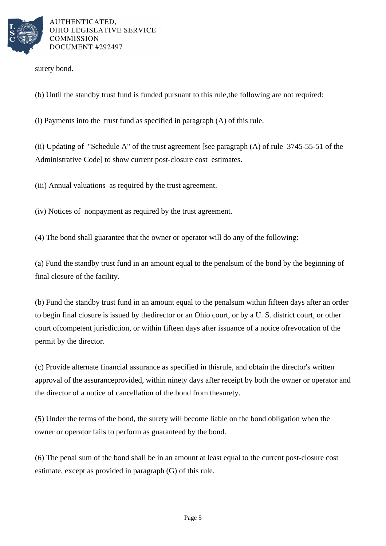

surety bond.

(b) Until the standby trust fund is funded pursuant to this rule, the following are not required:

 $(i)$  Payments into the trust fund as specified in paragraph  $(A)$  of this rule.

(ii) Updating of "Schedule A" of the trust agreement [see paragraph  $(A)$  of rule 3745-55-51 of the Administrative Code] to show current post-closure cost estimates.

(iii) Annual valuations as required by the trust agreement.

(iv) Notices of nonpayment as required by the trust agreement.

(4) The bond shall guarantee that the owner or operator will do any of the following:

(a) Fund the standby trust fund in an amount equal to the penal sum of the bond by the beginning of final closure of the facility.

(b) Fund the standby trust fund in an amount equal to the penal sum within fifteen days after an order to begin final closure is issued by the director or an Ohio court, or by a U. S. district court, or other court of competent jurisdiction, or within fifteen days after issuance of a notice of revocation of the permit by the director.

(c) Provide alternate financial assurance as specified in this rule, and obtain the director's written approval of the assurance provided, within ninety days after receipt by both the owner or operator and the director of a notice of cancellation of the bond from the surety.

(5) Under the terms of the bond, the surety will become liable on the bond obligation when the owner or operator fails to perform as guaranteed by the bond.

(6) The penal sum of the bond shall be in an amount at least equal to the current post-closure cost estimate, except as provided in paragraph (G) of this rule.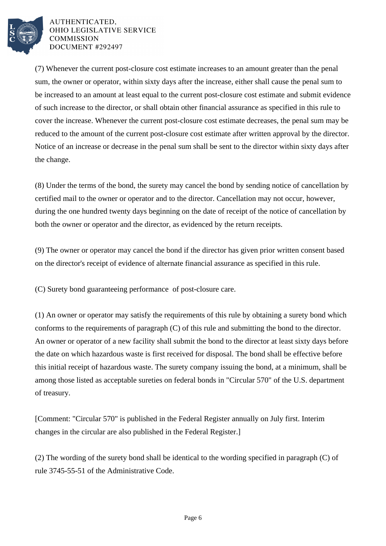

(7) Whenever the current post-closure cost estimate increases to an amount greater than the penal sum, the owner or operator, within sixty days after the increase, either shall cause the penal sum to be increased to an amount at least equal to the current post-closure cost estimate and submit evidence of such increase to the director, or shall obtain other financial assurance as specified in this rule to cover the increase. Whenever the current post-closure cost estimate decreases, the penal sum may be reduced to the amount of the current post-closure cost estimate after written approval by the director. Notice of an increase or decrease in the penal sum shall be sent to the director within sixty days after the change.

(8) Under the terms of the bond, the surety may cancel the bond by sending notice of cancellation by certified mail to the owner or operator and to the director. Cancellation may not occur, however, during the one hundred twenty days beginning on the date of receipt of the notice of cancellation by both the owner or operator and the director, as evidenced by the return receipts.

(9) The owner or operator may cancel the bond if the director has given prior written consent based on the director's receipt of evidence of alternate financial assurance as specified in this rule.

(C) Surety bond guaranteeing performance of post-closure care.

(1) An owner or operator may satisfy the requirements of this rule by obtaining a surety bond which conforms to the requirements of paragraph  $(C)$  of this rule and submitting the bond to the director. An owner or operator of a new facility shall submit the bond to the director at least sixty days before the date on which hazardous waste is first received for disposal. The bond shall be effective before this initial receipt of hazardous waste. The surety company issuing the bond, at a minimum, shall be among those listed as acceptable sureties on federal bonds in "Circular 570" of the U.S. department of treasury.

[Comment: "Circular 570" is published in the Federal Register annually on July first. Interim changes in the circular are also published in the Federal Register.]

(2) The wording of the surety bond shall be identical to the wording specified in paragraph  $(C)$  of rule 3745-55-51 of the Administrative Code.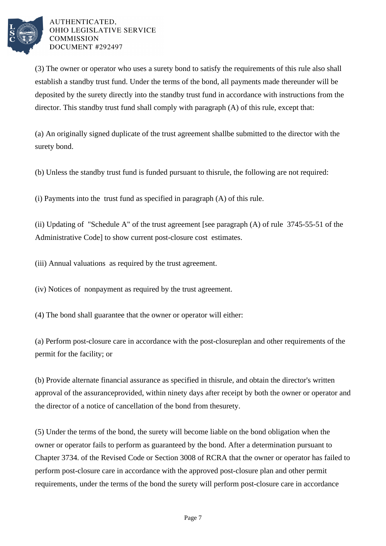

(3) The owner or operator who uses a surety bond to satisfy the requirements of this rule also shall establish a standby trust fund. Under the terms of the bond, all payments made thereunder will be deposited by the surety directly into the standby trust fund in accordance with instructions from the director. This standby trust fund shall comply with paragraph  $(A)$  of this rule, except that:

(a) An originally signed duplicate of the trust agreement shall be submitted to the director with the surety bond.

(b) Unless the standby trust fund is funded pursuant to this rule, the following are not required:

(i) Payments into the trust fund as specified in paragraph  $(A)$  of this rule.

(ii) Updating of "Schedule A" of the trust agreement [see paragraph  $(A)$  of rule 3745-55-51 of the Administrative Code] to show current post-closure cost estimates.

(iii) Annual valuations as required by the trust agreement.

(iv) Notices of nonpayment as required by the trust agreement.

(4) The bond shall guarantee that the owner or operator will either:

(a) Perform post-closure care in accordance with the post-closure plan and other requirements of the permit for the facility; or

(b) Provide alternate financial assurance as specified in this rule, and obtain the director's written approval of the assurance provided, within ninety days after receipt by both the owner or operator and the director of a notice of cancellation of the bond from the surety.

(5) Under the terms of the bond, the surety will become liable on the bond obligation when the owner or operator fails to perform as guaranteed by the bond. After a determination pursuant to Chapter 3734. of the Revised Code or Section 3008 of RCRA that the owner or operator has failed to perform post-closure care in accordance with the approved post-closure plan and other permit requirements, under the terms of the bond the surety will perform post-closure care in accordance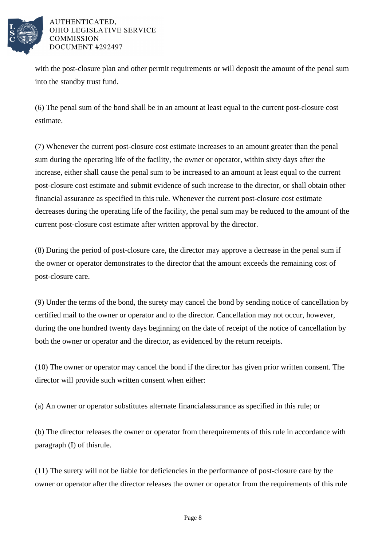

with the post-closure plan and other permit requirements or will deposit the amount of the penal sum into the standby trust fund.

(6) The penal sum of the bond shall be in an amount at least equal to the current post-closure cost estimate.

(7) Whenever the current post-closure cost estimate increases to an amount greater than the penal sum during the operating life of the facility, the owner or operator, within sixty days after the increase, either shall cause the penal sum to be increased to an amount at least equal to the current post-closure cost estimate and submit evidence of such increase to the director, or shall obtain other financial assurance as specified in this rule. Whenever the current post-closure cost estimate decreases during the operating life of the facility, the penal sum may be reduced to the amount of the current post-closure cost estimate after written approval by the director.

(8) During the period of post-closure care, the director may approve a decrease in the penal sum if the owner or operator demonstrates to the director that the amount exceeds the remaining cost of post-closure care.

(9) Under the terms of the bond, the surety may cancel the bond by sending notice of cancellation by certified mail to the owner or operator and to the director. Cancellation may not occur, however, during the one hundred twenty days beginning on the date of receipt of the notice of cancellation by both the owner or operator and the director, as evidenced by the return receipts.

(10) The owner or operator may cancel the bond if the director has given prior written consent. The director will provide such written consent when either:

(a) An owner or operator substitutes alternate financial assurance as specified in this rule; or

(b) The director releases the owner or operator from the requirements of this rule in accordance with paragraph  $(I)$  of this rule.

(11) The surety will not be liable for deficiencies in the performance of post-closure care by the owner or operator after the director releases the owner or operator from the requirements of this rule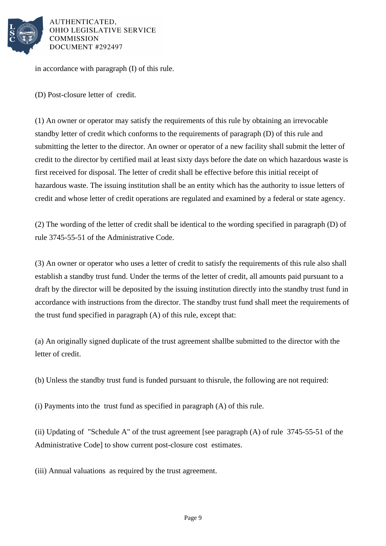

in accordance with paragraph  $(I)$  of this rule.

(D) Post-closure letter of credit.

(1) An owner or operator may satisfy the requirements of this rule by obtaining an irrevocable standby letter of credit which conforms to the requirements of paragraph (D) of this rule and submitting the letter to the director. An owner or operator of a new facility shall submit the letter of credit to the director by certified mail at least sixty days before the date on which hazardous waste is first received for disposal. The letter of credit shall be effective before this initial receipt of hazardous waste. The issuing institution shall be an entity which has the authority to issue letters of credit and whose letter of credit operations are regulated and examined by a federal or state agency.

(2) The wording of the letter of credit shall be identical to the wording specified in paragraph (D) of rule 3745-55-51 of the Administrative Code.

(3) An owner or operator who uses a letter of credit to satisfy the requirements of this rule also shall establish a standby trust fund. Under the terms of the letter of credit, all amounts paid pursuant to a draft by the director will be deposited by the issuing institution directly into the standby trust fund in accordance with instructions from the director. The standby trust fund shall meet the requirements of the trust fund specified in paragraph  $(A)$  of this rule, except that:

(a) An originally signed duplicate of the trust agreement shall be submitted to the director with the letter of credit.

(b) Unless the standby trust fund is funded pursuant to this rule, the following are not required:

(i) Payments into the trust fund as specified in paragraph  $(A)$  of this rule.

(ii) Updating of "Schedule A" of the trust agreement [see paragraph  $(A)$  of rule 3745-55-51 of the Administrative Code] to show current post-closure cost estimates.

(iii) Annual valuations as required by the trust agreement.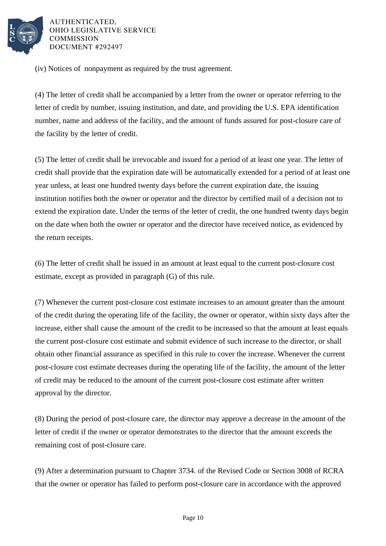

(iv) Notices of nonpayment as required by the trust agreement.

(4) The letter of credit shall be accompanied by a letter from the owner or operator referring to the letter of credit by number, issuing institution, and date, and providing the U.S. EPA identification number, name and address of the facility, and the amount of funds assured for post-closure care of the facility by the letter of credit.

(5) The letter of credit shall be irrevocable and issued for a period of at least one year. The letter of credit shall provide that the expiration date will be automatically extended for a period of at least one year unless, at least one hundred twenty days before the current expiration date, the issuing institution notifies both the owner or operator and the director by certified mail of a decision not to extend the expiration date. Under the terms of the letter of credit, the one hundred twenty days begin on the date when both the owner or operator and the director have received notice, as evidenced by the return receipts.

(6) The letter of credit shall be issued in an amount at least equal to the current post-closure cost estimate, except as provided in paragraph (G) of this rule.

(7) Whenever the current post-closure cost estimate increases to an amount greater than the amount of the credit during the operating life of the facility, the owner or operator, within sixty days after the increase, either shall cause the amount of the credit to be increased so that the amount at least equals the current post-closure cost estimate and submit evidence of such increase to the director, or shall obtain other financial assurance as specified in this rule to cover the increase. Whenever the current post-closure cost estimate decreases during the operating life of the facility, the amount of the letter of credit may be reduced to the amount of the current post-closure cost estimate after written approval by the director.

(8) During the period of post-closure care, the director may approve a decrease in the amount of the letter of credit if the owner or operator demonstrates to the director that the amount exceeds the remaining cost of post-closure care.

(9) After a determination pursuant to Chapter 3734. of the Revised Code or Section 3008 of RCRA that the owner or operator has failed to perform post-closure care in accordance with the approved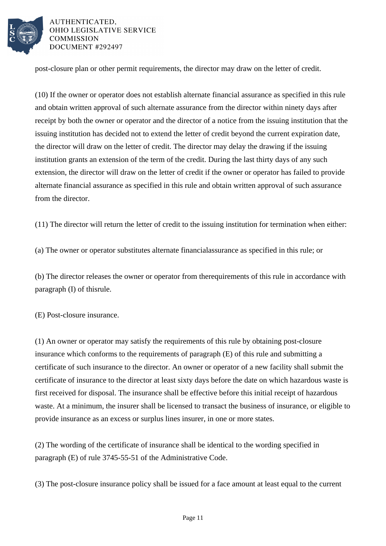

post-closure plan or other permit requirements, the director may draw on the letter of credit.

 $(10)$  If the owner or operator does not establish alternate financial assurance as specified in this rule and obtain written approval of such alternate assurance from the director within ninety days after receipt by both the owner or operator and the director of a notice from the issuing institution that the issuing institution has decided not to extend the letter of credit beyond the current expiration date, the director will draw on the letter of credit. The director may delay the drawing if the issuing institution grants an extension of the term of the credit. During the last thirty days of any such extension, the director will draw on the letter of credit if the owner or operator has failed to provide alternate financial assurance as specified in this rule and obtain written approval of such assurance from the director.

 $(11)$  The director will return the letter of credit to the issuing institution for termination when either:

(a) The owner or operator substitutes alternate financial assurance as specified in this rule; or

(b) The director releases the owner or operator from the requirements of this rule in accordance with paragraph  $(I)$  of this rule.

(E) Post-closure insurance.

(1) An owner or operator may satisfy the requirements of this rule by obtaining post-closure insurance which conforms to the requirements of paragraph  $(E)$  of this rule and submitting a certificate of such insurance to the director. An owner or operator of a new facility shall submit the certificate of insurance to the director at least sixty days before the date on which hazardous waste is first received for disposal. The insurance shall be effective before this initial receipt of hazardous waste. At a minimum, the insurer shall be licensed to transact the business of insurance, or eligible to provide insurance as an excess or surplus lines insurer, in one or more states.

(2) The wording of the certificate of insurance shall be identical to the wording specified in paragraph (E) of rule 3745-55-51 of the Administrative Code.

(3) The post-closure insurance policy shall be issued for a face amount at least equal to the current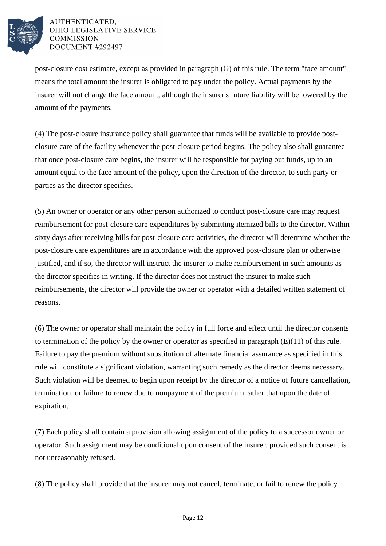

post-closure cost estimate, except as provided in paragraph  $(G)$  of this rule. The term "face amount" means the total amount the insurer is obligated to pay under the policy. Actual payments by the insurer will not change the face amount, although the insurer's future liability will be lowered by the amount of the payments.

(4) The post-closure insurance policy shall guarantee that funds will be available to provide postclosure care of the facility whenever the post-closure period begins. The policy also shall guarantee that once post-closure care begins, the insurer will be responsible for paying out funds, up to an amount equal to the face amount of the policy, upon the direction of the director, to such party or parties as the director specifies.

(5) An owner or operator or any other person authorized to conduct post-closure care may request reimbursement for post-closure care expenditures by submitting itemized bills to the director. Within sixty days after receiving bills for post-closure care activities, the director will determine whether the post-closure care expenditures are in accordance with the approved post-closure plan or otherwise justified, and if so, the director will instruct the insurer to make reimbursement in such amounts as the director specifies in writing. If the director does not instruct the insurer to make such reimbursements, the director will provide the owner or operator with a detailed written statement of reasons.

(6) The owner or operator shall maintain the policy in full force and effect until the director consents to termination of the policy by the owner or operator as specified in paragraph  $(E)(11)$  of this rule. Failure to pay the premium without substitution of alternate financial assurance as specified in this rule will constitute a significant violation, warranting such remedy as the director deems necessary. Such violation will be deemed to begin upon receipt by the director of a notice of future cancellation, termination, or failure to renew due to nonpayment of the premium rather that upon the date of expiration.

(7) Each policy shall contain a provision allowing assignment of the policy to a successor owner or operator. Such assignment may be conditional upon consent of the insurer, provided such consent is not unreasonably refused.

(8) The policy shall provide that the insurer may not cancel, terminate, or fail to renew the policy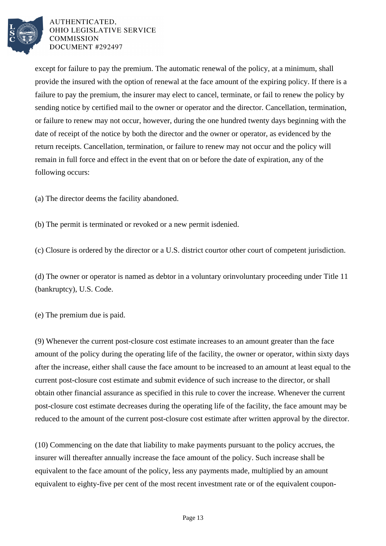

except for failure to pay the premium. The automatic renewal of the policy, at a minimum, shall provide the insured with the option of renewal at the face amount of the expiring policy. If there is a failure to pay the premium, the insurer may elect to cancel, terminate, or fail to renew the policy by sending notice by certified mail to the owner or operator and the director. Cancellation, termination, or failure to renew may not occur, however, during the one hundred twenty days beginning with the date of receipt of the notice by both the director and the owner or operator, as evidenced by the return receipts. Cancellation, termination, or failure to renew may not occur and the policy will remain in full force and effect in the event that on or before the date of expiration, any of the following occurs:

(a) The director deems the facility abandoned.

(b) The permit is terminated or revoked or a new permit is denied.

(c) Closure is ordered by the director or a U.S. district court or other court of competent jurisdiction.

(d) The owner or operator is named as debtor in a voluntary or involuntary proceeding under Title 11 (bankruptcy), U.S. Code.

(e) The premium due is paid.

(9) Whenever the current post-closure cost estimate increases to an amount greater than the face amount of the policy during the operating life of the facility, the owner or operator, within sixty days after the increase, either shall cause the face amount to be increased to an amount at least equal to the current post-closure cost estimate and submit evidence of such increase to the director, or shall obtain other financial assurance as specified in this rule to cover the increase. Whenever the current post-closure cost estimate decreases during the operating life of the facility, the face amount may be reduced to the amount of the current post-closure cost estimate after written approval by the director.

(10) Commencing on the date that liability to make payments pursuant to the policy accrues, the insurer will thereafter annually increase the face amount of the policy. Such increase shall be equivalent to the face amount of the policy, less any payments made, multiplied by an amount equivalent to eighty-five per cent of the most recent investment rate or of the equivalent coupon-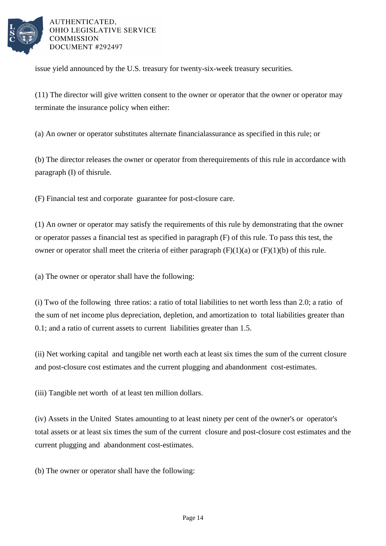

issue yield announced by the U.S. treasury for twenty-six-week treasury securities.

 $(11)$  The director will give written consent to the owner or operator that the owner or operator may terminate the insurance policy when either:

(a) An owner or operator substitutes alternate financial assurance as specified in this rule; or

(b) The director releases the owner or operator from the requirements of this rule in accordance with paragraph  $(I)$  of this rule.

(F) Financial test and corporate guarantee for post-closure care.

(1) An owner or operator may satisfy the requirements of this rule by demonstrating that the owner or operator passes a financial test as specified in paragraph  $(F)$  of this rule. To pass this test, the owner or operator shall meet the criteria of either paragraph  $(F)(1)(a)$  or  $(F)(1)(b)$  of this rule.

(a) The owner or operator shall have the following:

(i) Two of the following three ratios: a ratio of total liabilities to net worth less than 2.0; a ratio of the sum of net income plus depreciation, depletion, and amortization to total liabilities greater than 0.1; and a ratio of current assets to current liabilities greater than 1.5.

(ii) Net working capital and tangible net worth each at least six times the sum of the current closure and post-closure cost estimates and the current plugging and abandonment cost-estimates.

(iii) Tangible net worth of at least ten million dollars.

(iv) Assets in the United States amounting to at least ninety per cent of the owner's or operator's total assets or at least six times the sum of the current closure and post-closure cost estimates and the current plugging and abandonment cost-estimates.

(b) The owner or operator shall have the following: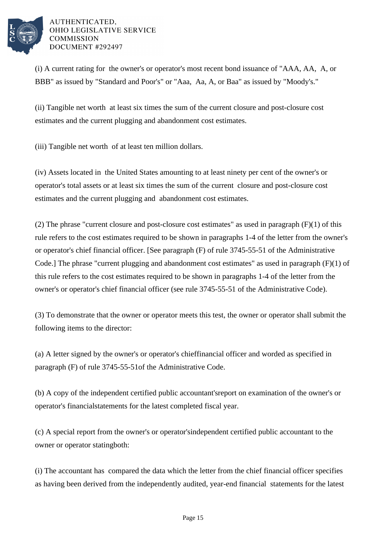

 $(i)$  A current rating for the owner's or operator's most recent bond issuance of "AAA, AA, A, or BBB" as issued by "Standard and Poor's" or "Aaa, Aa, A, or Baa" as issued by "Moody's."

(ii) Tangible net worth at least six times the sum of the current closure and post-closure cost estimates and the current plugging and abandonment cost estimates.

(iii) Tangible net worth of at least ten million dollars.

(iv) Assets located in the United States amounting to at least ninety per cent of the owner's or operator's total assets or at least six times the sum of the current closure and post-closure cost estimates and the current plugging and abandonment cost estimates.

(2) The phrase "current closure and post-closure cost estimates" as used in paragraph  $(F)(1)$  of this rule refers to the cost estimates required to be shown in paragraphs 1-4 of the letter from the owner's or operator's chief financial officer. [See paragraph (F) of rule 3745-55-51 of the Administrative Code.] The phrase "current plugging and abandonment cost estimates" as used in paragraph  $(F)(1)$  of this rule refers to the cost estimates required to be shown in paragraphs 1-4 of the letter from the owner's or operator's chief financial officer (see rule 3745-55-51 of the Administrative Code).

(3) To demonstrate that the owner or operator meets this test, the owner or operator shall submit the following items to the director:

(a) A letter signed by the owner's or operator's chief financial officer and worded as specified in paragraph (F) of rule 3745-55-51 of the Administrative Code.

(b) A copy of the independent certified public accountant's report on examination of the owner's or operator's financial statements for the latest completed fiscal year.

(c) A special report from the owner's or operator's independent certified public accountant to the owner or operator stating both:

(i) The accountant has compared the data which the letter from the chief financial officer specifies as having been derived from the independently audited, year-end financial statements for the latest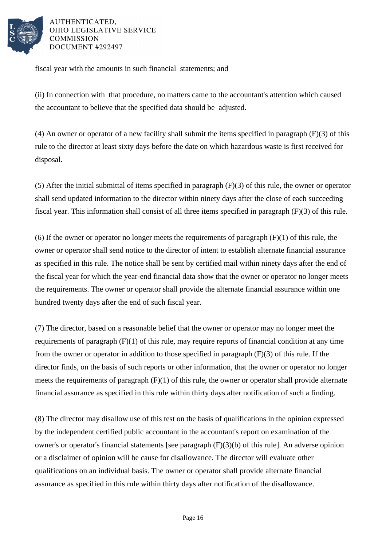

fiscal year with the amounts in such financial statements; and

(ii) In connection with that procedure, no matters came to the accountant's attention which caused the accountant to believe that the specified data should be adjusted.

(4) An owner or operator of a new facility shall submit the items specified in paragraph  $(F)(3)$  of this rule to the director at least sixty days before the date on which hazardous waste is first received for disposal.

(5) After the initial submittal of items specified in paragraph  $(F)(3)$  of this rule, the owner or operator shall send updated information to the director within ninety days after the close of each succeeding fiscal year. This information shall consist of all three items specified in paragraph  $(F)(3)$  of this rule.

(6) If the owner or operator no longer meets the requirements of paragraph  $(F)(1)$  of this rule, the owner or operator shall send notice to the director of intent to establish alternate financial assurance as specified in this rule. The notice shall be sent by certified mail within ninety days after the end of the fiscal year for which the year-end financial data show that the owner or operator no longer meets the requirements. The owner or operator shall provide the alternate financial assurance within one hundred twenty days after the end of such fiscal year.

(7) The director, based on a reasonable belief that the owner or operator may no longer meet the requirements of paragraph  $(F)(1)$  of this rule, may require reports of financial condition at any time from the owner or operator in addition to those specified in paragraph  $(F)(3)$  of this rule. If the director finds, on the basis of such reports or other information, that the owner or operator no longer meets the requirements of paragraph  $(F)(1)$  of this rule, the owner or operator shall provide alternate financial assurance as specified in this rule within thirty days after notification of such a finding.

(8) The director may disallow use of this test on the basis of qualifications in the opinion expressed by the independent certified public accountant in the accountant's report on examination of the owner's or operator's financial statements [see paragraph  $(F)(3)(b)$  of this rule]. An adverse opinion or a disclaimer of opinion will be cause for disallowance. The director will evaluate other qualifications on an individual basis. The owner or operator shall provide alternate financial assurance as specified in this rule within thirty days after notification of the disallowance.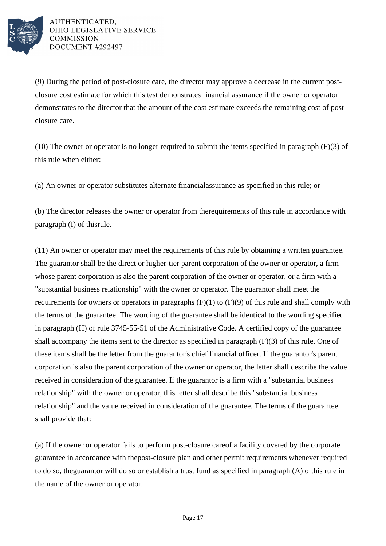

(9) During the period of post-closure care, the director may approve a decrease in the current postclosure cost estimate for which this test demonstrates financial assurance if the owner or operator demonstrates to the director that the amount of the cost estimate exceeds the remaining cost of postclosure care.

(10) The owner or operator is no longer required to submit the items specified in paragraph  $(F)(3)$  of this rule when either:

(a) An owner or operator substitutes alternate financial assurance as specified in this rule; or

(b) The director releases the owner or operator from the requirements of this rule in accordance with paragraph  $(I)$  of this rule.

(11) An owner or operator may meet the requirements of this rule by obtaining a written guarantee. The guarantor shall be the direct or higher-tier parent corporation of the owner or operator, a firm whose parent corporation is also the parent corporation of the owner or operator, or a firm with a "substantial business relationship" with the owner or operator. The guarantor shall meet the requirements for owners or operators in paragraphs  $(F)(1)$  to  $(F)(9)$  of this rule and shall comply with the terms of the guarantee. The wording of the guarantee shall be identical to the wording specified in paragraph  $(H)$  of rule 3745-55-51 of the Administrative Code. A certified copy of the guarantee shall accompany the items sent to the director as specified in paragraph  $(F)(3)$  of this rule. One of these items shall be the letter from the guarantor's chief financial officer. If the guarantor's parent corporation is also the parent corporation of the owner or operator, the letter shall describe the value received in consideration of the guarantee. If the guarantor is a firm with a "substantial business" relationship" with the owner or operator, this letter shall describe this "substantial business" relationship" and the value received in consideration of the guarantee. The terms of the guarantee shall provide that:

(a) If the owner or operator fails to perform post-closure care of a facility covered by the corporate guarantee in accordance with the post-closure plan and other permit requirements whenever required to do so, the guarantor will do so or establish a trust fund as specified in paragraph  $(A)$  of this rule in the name of the owner or operator.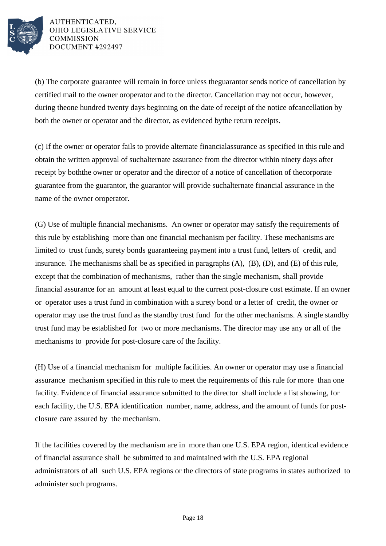

(b) The corporate guarantee will remain in force unless the guarantor sends notice of cancellation by certified mail to the owner or operator and to the director. Cancellation may not occur, however, during the one hundred twenty days beginning on the date of receipt of the notice of cancellation by both the owner or operator and the director, as evidenced by the return receipts.

(c) If the owner or operator fails to provide alternate financial assurance as specified in this rule and obtain the written approval of such alternate assurance from the director within ninety days after receipt by both the owner or operator and the director of a notice of cancellation of the corporate guarantee from the guarantor, the guarantor will provide such alternate financial assurance in the name of the owner or operator.

(G) Use of multiple financial mechanisms. An owner or operator may satisfy the requirements of this rule by establishing more than one financial mechanism per facility. These mechanisms are limited to trust funds, surety bonds guaranteeing payment into a trust fund, letters of credit, and insurance. The mechanisms shall be as specified in paragraphs (A), (B), (D), and (E) of this rule, except that the combination of mechanisms, rather than the single mechanism, shall provide financial assurance for an amount at least equal to the current post-closure cost estimate. If an owner or operator uses a trust fund in combination with a surety bond or a letter of credit, the owner or operator may use the trust fund as the standby trust fund for the other mechanisms. A single standby trust fund may be established for two or more mechanisms. The director may use any or all of the mechanisms to provide for post-closure care of the facility.

(H) Use of a financial mechanism for multiple facilities. An owner or operator may use a financial assurance mechanism specified in this rule to meet the requirements of this rule for more than one facility. Evidence of financial assurance submitted to the director shall include a list showing, for each facility, the U.S. EPA identification number, name, address, and the amount of funds for postclosure care assured by the mechanism.

If the facilities covered by the mechanism are in more than one U.S. EPA region, identical evidence of financial assurance shall be submitted to and maintained with the U.S. EPA regional administrators of all such U.S. EPA regions or the directors of state programs in states authorized to administer such programs.